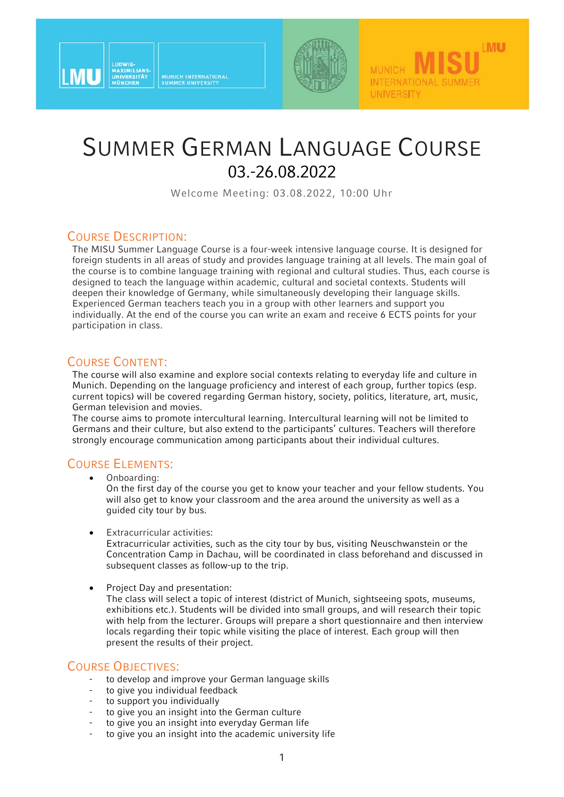



**MUNICH** 

**UNIVERSITY** 

INTERNATIONAL SUMMER

**MU** 

# SUMMER GERMAN LANGUAGE COURSE 03.-26.08.2022

Welcome Meeting: 03.08.2022, 10:00 Uhr

### COURSE DESCRIPTION:

The MISU Summer Language Course is a four-week intensive language course. It is designed for foreign students in all areas of study and provides language training at all levels. The main goal of the course is to combine language training with regional and cultural studies. Thus, each course is designed to teach the language within academic, cultural and societal contexts. Students will deepen their knowledge of Germany, while simultaneously developing their language skills. Experienced German teachers teach you in a group with other learners and support you individually. At the end of the course you can write an exam and receive 6 ECTS points for your participation in class.

#### COURSE CONTENT:

The course will also examine and explore social contexts relating to everyday life and culture in Munich. Depending on the language proficiency and interest of each group, further topics (esp. current topics) will be covered regarding German history, society, politics, literature, art, music, German television and movies.

The course aims to promote intercultural learning. Intercultural learning will not be limited to Germans and their culture, but also extend to the participants' cultures. Teachers will therefore strongly encourage communication among participants about their individual cultures.

#### COURSE ELEMENTS:

Onboarding:

On the first day of the course you get to know your teacher and your fellow students. You will also get to know your classroom and the area around the university as well as a guided city tour by bus.

Extracurricular activities:

Extracurricular activities, such as the city tour by bus, visiting Neuschwanstein or the Concentration Camp in Dachau, will be coordinated in class beforehand and discussed in subsequent classes as follow-up to the trip.

Project Day and presentation:

The class will select a topic of interest (district of Munich, sightseeing spots, museums, exhibitions etc.). Students will be divided into small groups, and will research their topic with help from the lecturer. Groups will prepare a short questionnaire and then interview locals regarding their topic while visiting the place of interest. Each group will then present the results of their project.

- COURSE OBJECTIVES: to develop and improve your German language skills
	- to give you individual feedback
	- to support you individually
	- to give you an insight into the German culture
	- to give you an insight into everyday German life
	- to give you an insight into the academic university life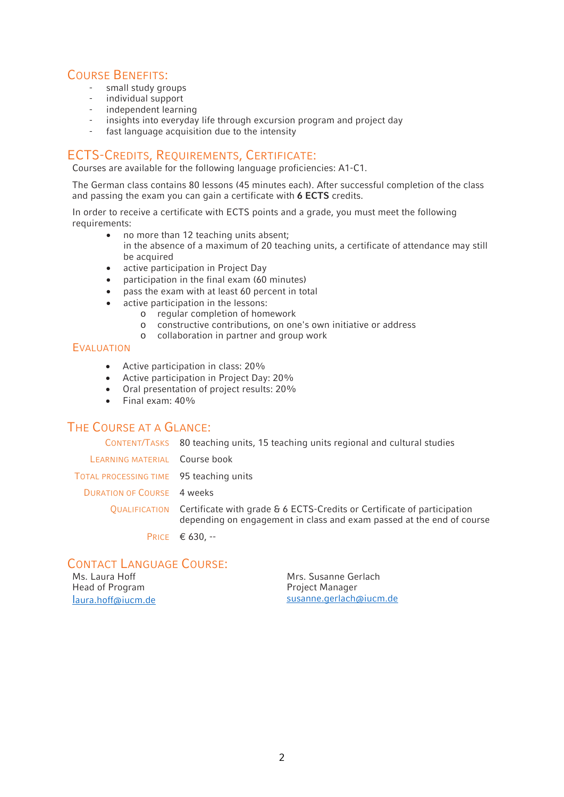# COURSE BENEFITS: - small study groups

- 
- individual support
- independent learning
- insights into everyday life through excursion program and project day
- fast language acquisition due to the intensity

### ECTS-CREDITS, REQUIREMENTS, CERTIFICATE:

Courses are available for the following language proficiencies: A1-C1.

The German class contains 80 lessons (45 minutes each). After successful completion of the class and passing the exam you can gain a certificate with **6 ECTS** credits.

In order to receive a certificate with ECTS points and a grade, you must meet the following requirements:

- no more than 12 teaching units absent; in the absence of a maximum of 20 teaching units, a certificate of attendance may still be acquired
- active participation in Project Day
- participation in the final exam (60 minutes)
- pass the exam with at least 60 percent in total
- active participation in the lessons:
	- o regular completion of homework
	- o constructive contributions, on one's own initiative or address
	- o collaboration in partner and group work

#### EVALUATION

- Active participation in class: 20%
- Active participation in Project Day: 20%
- Oral presentation of project results: 20%
- $\bullet$  Final exam:  $40\%$

### THE COURSE AT A GLANCE:

CONTENT/TASKS 80 teaching units, 15 teaching units regional and cultural studies LEARNING MATERIAL Course book TOTAL PROCESSING TIME 95 teaching units DURATION OF COURSE 4 weeks QUALIFICATION Certificate with grade & 6 ECTS-Credits or Certificate of participation depending on engagement in class and exam passed at the end of course PRICE € 630, --

#### CONTACT LANGUAGE COURSE

| Ms. Laura Hoff     |  |  |  |  |  |
|--------------------|--|--|--|--|--|
| Head of Program    |  |  |  |  |  |
| laura.hoff@iucm.de |  |  |  |  |  |

Mrs. Susanne Gerlach Project Manager susanne.gerlach@iucm.de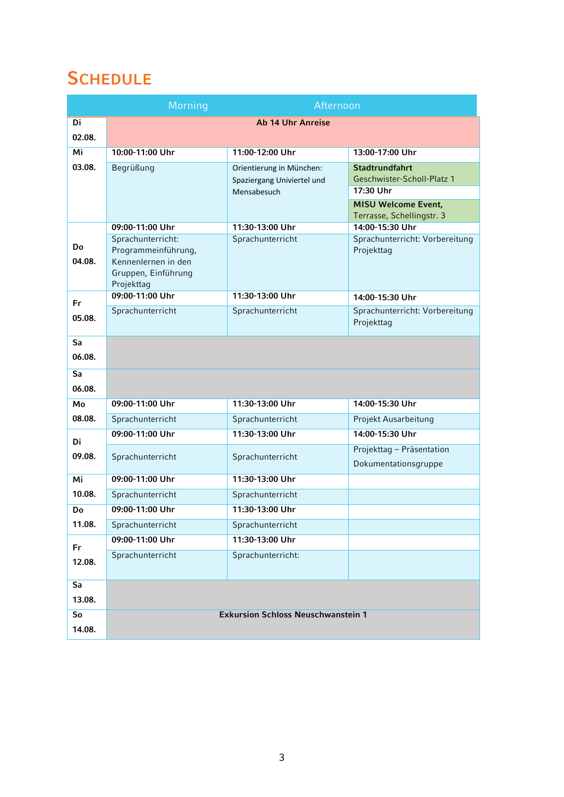### **SCHEDULE**

|              | Morning<br>Afternoon                                                                                 |                                                        |                                                     |  |
|--------------|------------------------------------------------------------------------------------------------------|--------------------------------------------------------|-----------------------------------------------------|--|
| Di           | <b>Ab 14 Uhr Anreise</b>                                                                             |                                                        |                                                     |  |
| 02.08.       |                                                                                                      |                                                        |                                                     |  |
| Mi           | 10:00-11:00 Uhr                                                                                      | 11:00-12:00 Uhr                                        | 13:00-17:00 Uhr                                     |  |
| 03.08.       | Begrüßung                                                                                            | Orientierung in München:<br>Spaziergang Univiertel und | <b>Stadtrundfahrt</b><br>Geschwister-Scholl-Platz 1 |  |
|              |                                                                                                      | Mensabesuch                                            | 17:30 Uhr<br><b>MISU Welcome Event,</b>             |  |
|              |                                                                                                      |                                                        | Terrasse, Schellingstr. 3                           |  |
|              | 09:00-11:00 Uhr                                                                                      | 11:30-13:00 Uhr                                        | 14:00-15:30 Uhr                                     |  |
| Do<br>04.08. | Sprachunterricht:<br>Programmeinführung,<br>Kennenlernen in den<br>Gruppen, Einführung<br>Projekttag | Sprachunterricht                                       | Sprachunterricht: Vorbereitung<br>Projekttag        |  |
| Fr.          | 09:00-11:00 Uhr                                                                                      | 11:30-13:00 Uhr                                        | 14:00-15:30 Uhr                                     |  |
| 05.08.       | Sprachunterricht                                                                                     | Sprachunterricht                                       | Sprachunterricht: Vorbereitung<br>Projekttag        |  |
| Sa           |                                                                                                      |                                                        |                                                     |  |
| 06.08.       |                                                                                                      |                                                        |                                                     |  |
| Sa<br>06.08. |                                                                                                      |                                                        |                                                     |  |
| Mo           | 09:00-11:00 Uhr                                                                                      | 11:30-13:00 Uhr                                        | 14:00-15:30 Uhr                                     |  |
| 08.08.       | Sprachunterricht                                                                                     | Sprachunterricht                                       | Projekt Ausarbeitung                                |  |
| Di           | 09:00-11:00 Uhr                                                                                      | 11:30-13:00 Uhr                                        | 14:00-15:30 Uhr                                     |  |
| 09.08.       | Sprachunterricht                                                                                     | Sprachunterricht                                       | Projekttag - Präsentation<br>Dokumentationsgruppe   |  |
| Mi           | 09:00-11:00 Uhr                                                                                      | 11:30-13:00 Uhr                                        |                                                     |  |
| 10.08.       | Sprachunterricht                                                                                     | Sprachunterricht                                       |                                                     |  |
| Do           | 09:00-11:00 Uhr                                                                                      | 11:30-13:00 Uhr                                        |                                                     |  |
| 11.08.       | Sprachunterricht                                                                                     | Sprachunterricht                                       |                                                     |  |
| Fr           | 09:00-11:00 Uhr                                                                                      | 11:30-13:00 Uhr                                        |                                                     |  |
| 12.08.       | Sprachunterricht                                                                                     | Sprachunterricht:                                      |                                                     |  |
| Sa           |                                                                                                      |                                                        |                                                     |  |
| 13.08.       |                                                                                                      |                                                        |                                                     |  |
| So<br>14.08. | <b>Exkursion Schloss Neuschwanstein 1</b>                                                            |                                                        |                                                     |  |